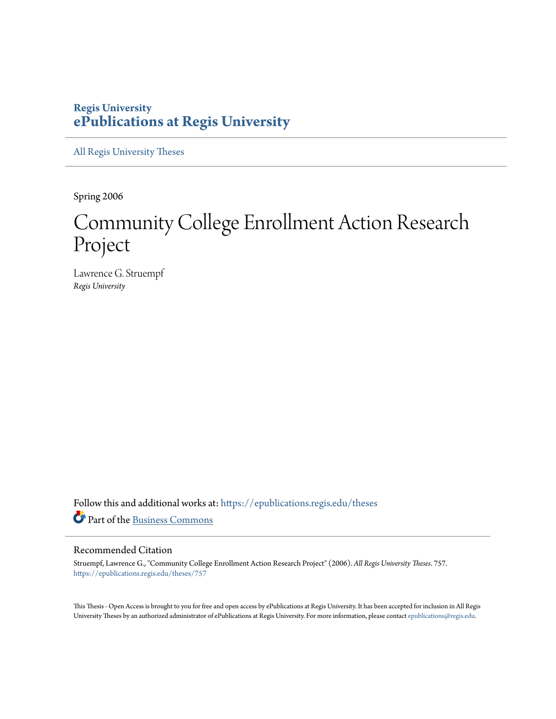# **Regis University [ePublications at Regis University](https://epublications.regis.edu?utm_source=epublications.regis.edu%2Ftheses%2F757&utm_medium=PDF&utm_campaign=PDFCoverPages)**

[All Regis University Theses](https://epublications.regis.edu/theses?utm_source=epublications.regis.edu%2Ftheses%2F757&utm_medium=PDF&utm_campaign=PDFCoverPages)

Spring 2006

# Community College Enrollment Action Research Project

Lawrence G. Struempf *Regis University*

Follow this and additional works at: [https://epublications.regis.edu/theses](https://epublications.regis.edu/theses?utm_source=epublications.regis.edu%2Ftheses%2F757&utm_medium=PDF&utm_campaign=PDFCoverPages) Part of the [Business Commons](http://network.bepress.com/hgg/discipline/622?utm_source=epublications.regis.edu%2Ftheses%2F757&utm_medium=PDF&utm_campaign=PDFCoverPages)

#### Recommended Citation

Struempf, Lawrence G., "Community College Enrollment Action Research Project" (2006). *All Regis University Theses*. 757. [https://epublications.regis.edu/theses/757](https://epublications.regis.edu/theses/757?utm_source=epublications.regis.edu%2Ftheses%2F757&utm_medium=PDF&utm_campaign=PDFCoverPages)

This Thesis - Open Access is brought to you for free and open access by ePublications at Regis University. It has been accepted for inclusion in All Regis University Theses by an authorized administrator of ePublications at Regis University. For more information, please contact [epublications@regis.edu.](mailto:epublications@regis.edu)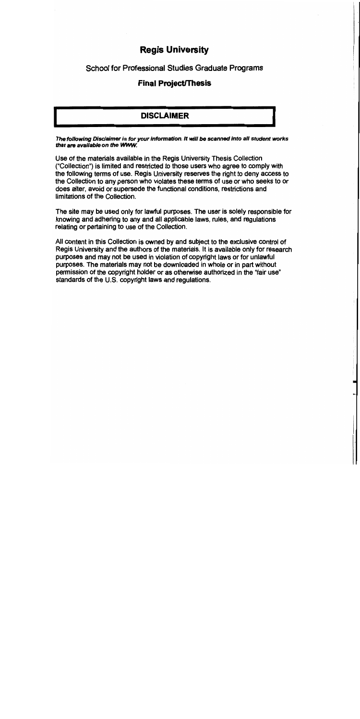# **Regis University**

**School for Professional Studies Graduate Programs** 

# **Final Project/Thesis**

# **DISCLAIMER**

The following Disclaimer is for your information. It will be scanned into all student works that are available on the WWW.

Use of the materials available in the Regis University Thesis Collection ("Collection") is limited and restricted to those users who agree to comply with the following terms of use. Regis University reserves the right to deny access to the Collection to any person who violates these terms of use or who seeks to or does alter, avoid or supersede the functional conditions, restrictions and limitations of the Collection.

The site may be used only for lawful purposes. The user is solely responsible for knowing and adhering to any and all applicable laws, rules, and regulations relating or pertaining to use of the Collection.

All content in this Collection is owned by and subject to the exclusive control of Regis University and the authors of the materials. It is available only for research purposes and may not be used in violation of copyright laws or for unlawful purposes. The materials may not be downloaded in whole or in part without permission of the copyright holder or as otherwise authorized in the "fair use" standards of the U.S. copyright laws and regulations.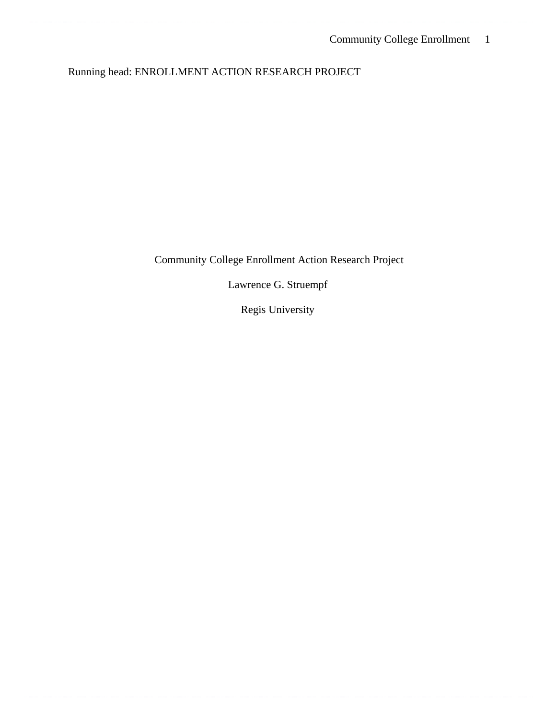# Running head: ENROLLMENT ACTION RESEARCH PROJECT

Community College Enrollment Action Research Project

Lawrence G. Struempf

Regis University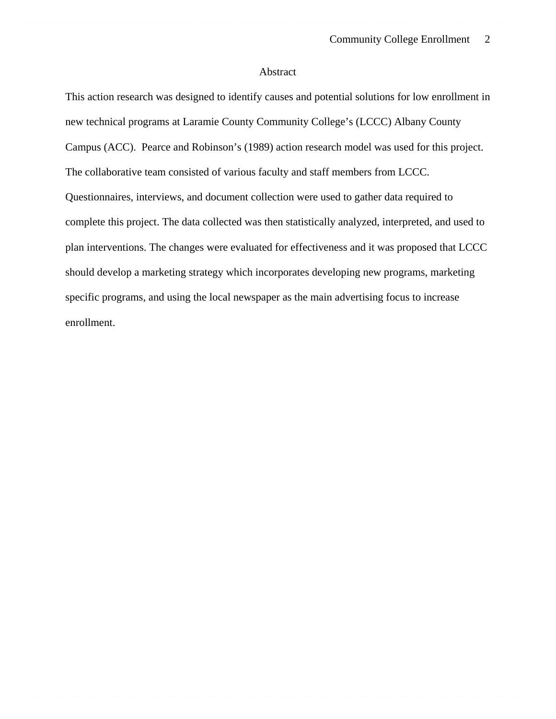# Abstract

This action research was designed to identify causes and potential solutions for low enrollment in new technical programs at Laramie County Community College's (LCCC) Albany County Campus (ACC). Pearce and Robinson's (1989) action research model was used for this project. The collaborative team consisted of various faculty and staff members from LCCC. Questionnaires, interviews, and document collection were used to gather data required to complete this project. The data collected was then statistically analyzed, interpreted, and used to plan interventions. The changes were evaluated for effectiveness and it was proposed that LCCC should develop a marketing strategy which incorporates developing new programs, marketing specific programs, and using the local newspaper as the main advertising focus to increase enrollment.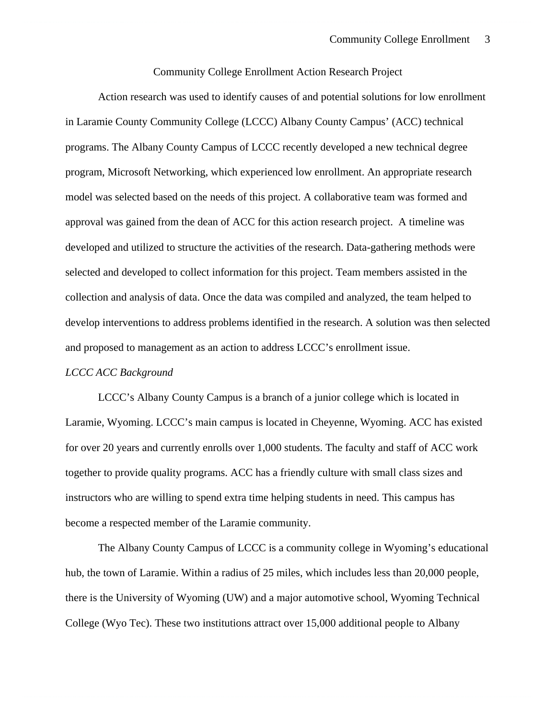#### Community College Enrollment Action Research Project

 Action research was used to identify causes of and potential solutions for low enrollment in Laramie County Community College (LCCC) Albany County Campus' (ACC) technical programs. The Albany County Campus of LCCC recently developed a new technical degree program, Microsoft Networking, which experienced low enrollment. An appropriate research model was selected based on the needs of this project. A collaborative team was formed and approval was gained from the dean of ACC for this action research project. A timeline was developed and utilized to structure the activities of the research. Data-gathering methods were selected and developed to collect information for this project. Team members assisted in the collection and analysis of data. Once the data was compiled and analyzed, the team helped to develop interventions to address problems identified in the research. A solution was then selected and proposed to management as an action to address LCCC's enrollment issue.

#### *LCCC ACC Background*

LCCC's Albany County Campus is a branch of a junior college which is located in Laramie, Wyoming. LCCC's main campus is located in Cheyenne, Wyoming. ACC has existed for over 20 years and currently enrolls over 1,000 students. The faculty and staff of ACC work together to provide quality programs. ACC has a friendly culture with small class sizes and instructors who are willing to spend extra time helping students in need. This campus has become a respected member of the Laramie community.

 The Albany County Campus of LCCC is a community college in Wyoming's educational hub, the town of Laramie. Within a radius of 25 miles, which includes less than 20,000 people, there is the University of Wyoming (UW) and a major automotive school, Wyoming Technical College (Wyo Tec). These two institutions attract over 15,000 additional people to Albany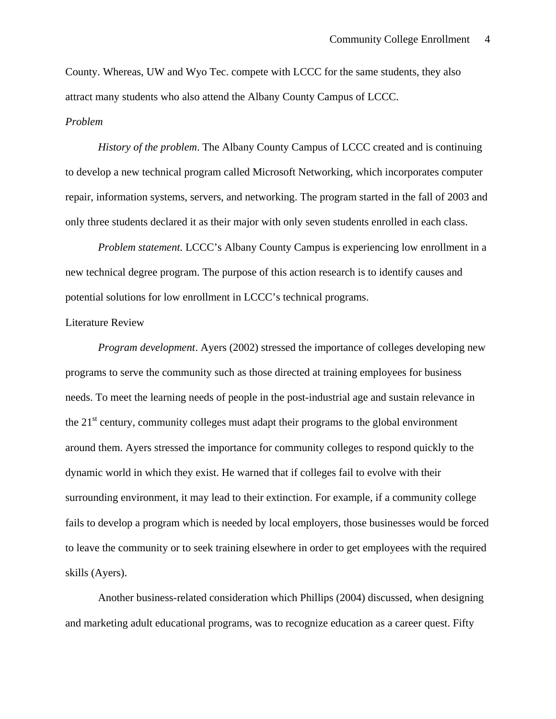County. Whereas, UW and Wyo Tec. compete with LCCC for the same students, they also attract many students who also attend the Albany County Campus of LCCC. *Problem* 

*History of the problem*. The Albany County Campus of LCCC created and is continuing to develop a new technical program called Microsoft Networking, which incorporates computer repair, information systems, servers, and networking. The program started in the fall of 2003 and only three students declared it as their major with only seven students enrolled in each class.

*Problem statement.* LCCC's Albany County Campus is experiencing low enrollment in a new technical degree program. The purpose of this action research is to identify causes and potential solutions for low enrollment in LCCC's technical programs.

#### Literature Review

*Program development*. Ayers (2002) stressed the importance of colleges developing new programs to serve the community such as those directed at training employees for business needs. To meet the learning needs of people in the post-industrial age and sustain relevance in the  $21<sup>st</sup>$  century, community colleges must adapt their programs to the global environment around them. Ayers stressed the importance for community colleges to respond quickly to the dynamic world in which they exist. He warned that if colleges fail to evolve with their surrounding environment, it may lead to their extinction. For example, if a community college fails to develop a program which is needed by local employers, those businesses would be forced to leave the community or to seek training elsewhere in order to get employees with the required skills (Ayers).

 Another business-related consideration which Phillips (2004) discussed, when designing and marketing adult educational programs, was to recognize education as a career quest. Fifty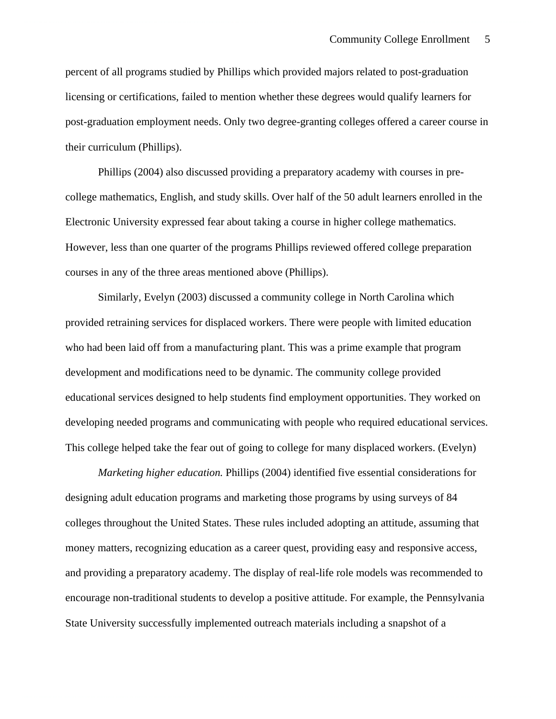percent of all programs studied by Phillips which provided majors related to post-graduation licensing or certifications, failed to mention whether these degrees would qualify learners for post-graduation employment needs. Only two degree-granting colleges offered a career course in their curriculum (Phillips).

 Phillips (2004) also discussed providing a preparatory academy with courses in precollege mathematics, English, and study skills. Over half of the 50 adult learners enrolled in the Electronic University expressed fear about taking a course in higher college mathematics. However, less than one quarter of the programs Phillips reviewed offered college preparation courses in any of the three areas mentioned above (Phillips).

Similarly, Evelyn (2003) discussed a community college in North Carolina which provided retraining services for displaced workers. There were people with limited education who had been laid off from a manufacturing plant. This was a prime example that program development and modifications need to be dynamic. The community college provided educational services designed to help students find employment opportunities. They worked on developing needed programs and communicating with people who required educational services. This college helped take the fear out of going to college for many displaced workers. (Evelyn)

*Marketing higher education.* Phillips (2004) identified five essential considerations for designing adult education programs and marketing those programs by using surveys of 84 colleges throughout the United States. These rules included adopting an attitude, assuming that money matters, recognizing education as a career quest, providing easy and responsive access, and providing a preparatory academy. The display of real-life role models was recommended to encourage non-traditional students to develop a positive attitude. For example, the Pennsylvania State University successfully implemented outreach materials including a snapshot of a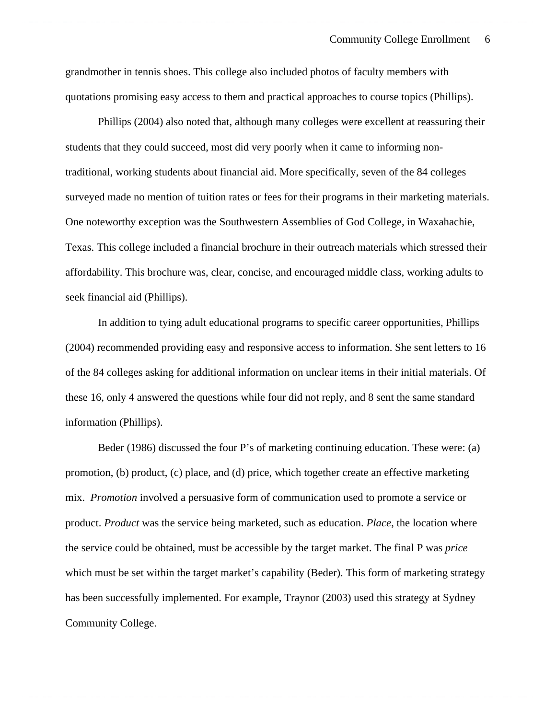grandmother in tennis shoes. This college also included photos of faculty members with quotations promising easy access to them and practical approaches to course topics (Phillips).

Phillips (2004) also noted that, although many colleges were excellent at reassuring their students that they could succeed, most did very poorly when it came to informing nontraditional, working students about financial aid. More specifically, seven of the 84 colleges surveyed made no mention of tuition rates or fees for their programs in their marketing materials. One noteworthy exception was the Southwestern Assemblies of God College, in Waxahachie, Texas. This college included a financial brochure in their outreach materials which stressed their affordability. This brochure was, clear, concise, and encouraged middle class, working adults to seek financial aid (Phillips).

In addition to tying adult educational programs to specific career opportunities, Phillips (2004) recommended providing easy and responsive access to information. She sent letters to 16 of the 84 colleges asking for additional information on unclear items in their initial materials. Of these 16, only 4 answered the questions while four did not reply, and 8 sent the same standard information (Phillips).

Beder (1986) discussed the four P's of marketing continuing education. These were: (a) promotion, (b) product, (c) place, and (d) price, which together create an effective marketing mix. *Promotion* involved a persuasive form of communication used to promote a service or product. *Product* was the service being marketed, such as education. *Place*, the location where the service could be obtained, must be accessible by the target market. The final P was *price* which must be set within the target market's capability (Beder). This form of marketing strategy has been successfully implemented. For example, Traynor (2003) used this strategy at Sydney Community College.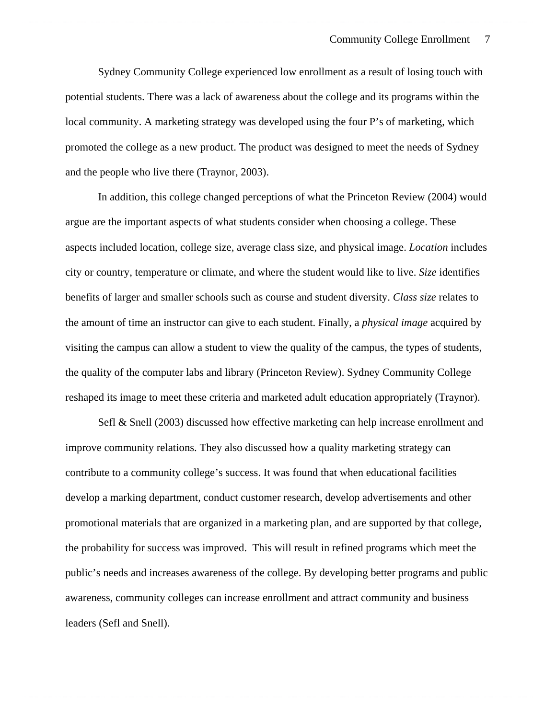Sydney Community College experienced low enrollment as a result of losing touch with potential students. There was a lack of awareness about the college and its programs within the local community. A marketing strategy was developed using the four P's of marketing, which promoted the college as a new product. The product was designed to meet the needs of Sydney and the people who live there (Traynor, 2003).

In addition, this college changed perceptions of what the Princeton Review (2004) would argue are the important aspects of what students consider when choosing a college. These aspects included location, college size, average class size, and physical image. *Location* includes city or country, temperature or climate, and where the student would like to live. *Size* identifies benefits of larger and smaller schools such as course and student diversity. *Class size* relates to the amount of time an instructor can give to each student. Finally, a *physical image* acquired by visiting the campus can allow a student to view the quality of the campus, the types of students, the quality of the computer labs and library (Princeton Review). Sydney Community College reshaped its image to meet these criteria and marketed adult education appropriately (Traynor).

Sefl & Snell (2003) discussed how effective marketing can help increase enrollment and improve community relations. They also discussed how a quality marketing strategy can contribute to a community college's success. It was found that when educational facilities develop a marking department, conduct customer research, develop advertisements and other promotional materials that are organized in a marketing plan, and are supported by that college, the probability for success was improved. This will result in refined programs which meet the public's needs and increases awareness of the college. By developing better programs and public awareness, community colleges can increase enrollment and attract community and business leaders (Sefl and Snell).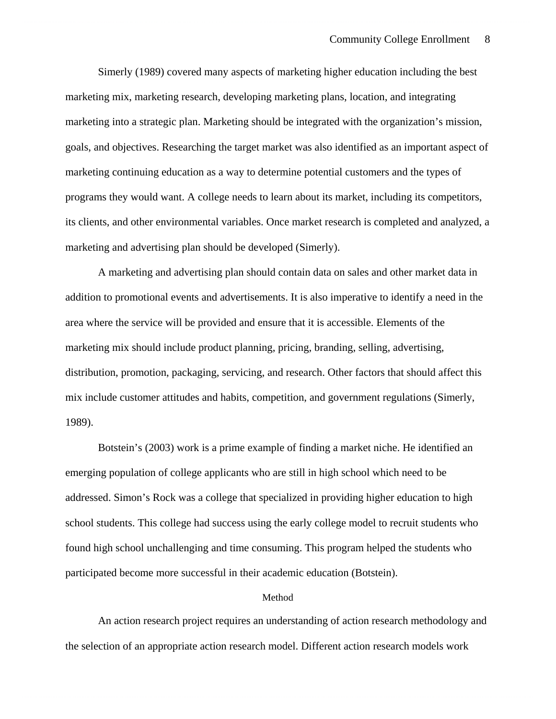Simerly (1989) covered many aspects of marketing higher education including the best marketing mix, marketing research, developing marketing plans, location, and integrating marketing into a strategic plan. Marketing should be integrated with the organization's mission, goals, and objectives. Researching the target market was also identified as an important aspect of marketing continuing education as a way to determine potential customers and the types of programs they would want. A college needs to learn about its market, including its competitors, its clients, and other environmental variables. Once market research is completed and analyzed, a marketing and advertising plan should be developed (Simerly).

A marketing and advertising plan should contain data on sales and other market data in addition to promotional events and advertisements. It is also imperative to identify a need in the area where the service will be provided and ensure that it is accessible. Elements of the marketing mix should include product planning, pricing, branding, selling, advertising, distribution, promotion, packaging, servicing, and research. Other factors that should affect this mix include customer attitudes and habits, competition, and government regulations (Simerly, 1989).

Botstein's (2003) work is a prime example of finding a market niche. He identified an emerging population of college applicants who are still in high school which need to be addressed. Simon's Rock was a college that specialized in providing higher education to high school students. This college had success using the early college model to recruit students who found high school unchallenging and time consuming. This program helped the students who participated become more successful in their academic education (Botstein).

#### Method

 An action research project requires an understanding of action research methodology and the selection of an appropriate action research model. Different action research models work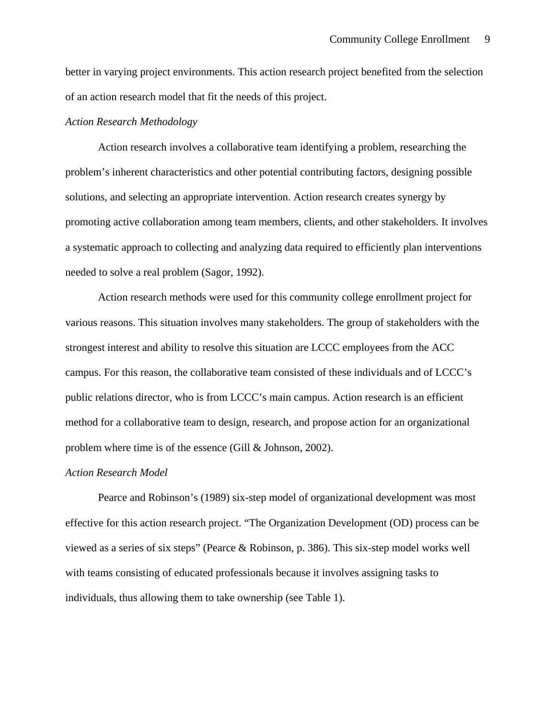better in varying project environments. This action research project benefited from the selection of an action research model that fit the needs of this project.

#### *Action Research Methodology*

Action research involves a collaborative team identifying a problem, researching the problem's inherent characteristics and other potential contributing factors, designing possible solutions, and selecting an appropriate intervention. Action research creates synergy by promoting active collaboration among team members, clients, and other stakeholders. It involves a systematic approach to collecting and analyzing data required to efficiently plan interventions needed to solve a real problem (Sagor, 1992).

Action research methods were used for this community college enrollment project for various reasons. This situation involves many stakeholders. The group of stakeholders with the strongest interest and ability to resolve this situation are LCCC employees from the ACC campus. For this reason, the collaborative team consisted of these individuals and of LCCC's public relations director, who is from LCCC's main campus. Action research is an efficient method for a collaborative team to design, research, and propose action for an organizational problem where time is of the essence (Gill & Johnson, 2002).

#### *Action Research Model*

Pearce and Robinson's (1989) six-step model of organizational development was most effective for this action research project. "The Organization Development (OD) process can be viewed as a series of six steps" (Pearce & Robinson, p. 386). This six-step model works well with teams consisting of educated professionals because it involves assigning tasks to individuals, thus allowing them to take ownership (see Table 1).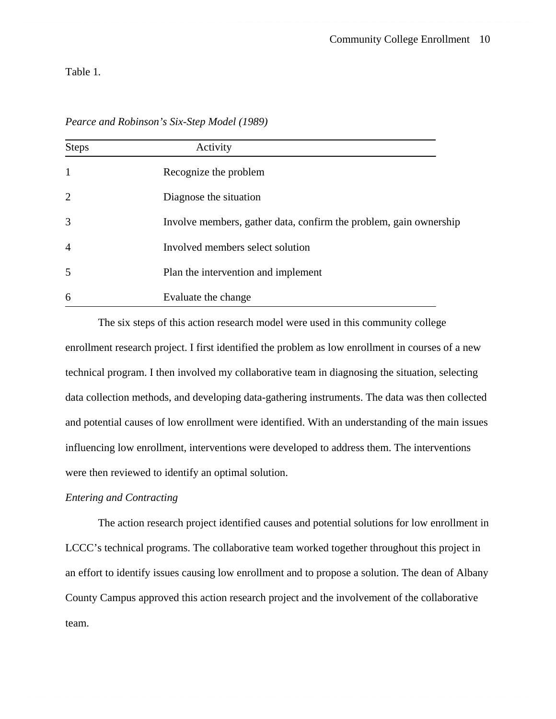# Table 1*.*

| Pearce and Robinson's Six-Step Model (1989) |
|---------------------------------------------|
|---------------------------------------------|

| <b>Steps</b>   | Activity                                                          |
|----------------|-------------------------------------------------------------------|
| $\mathbf{1}$   | Recognize the problem                                             |
| 2              | Diagnose the situation                                            |
| 3              | Involve members, gather data, confirm the problem, gain ownership |
| $\overline{4}$ | Involved members select solution                                  |
| 5              | Plan the intervention and implement                               |
| 6              | Evaluate the change                                               |

The six steps of this action research model were used in this community college enrollment research project. I first identified the problem as low enrollment in courses of a new technical program. I then involved my collaborative team in diagnosing the situation, selecting data collection methods, and developing data-gathering instruments. The data was then collected and potential causes of low enrollment were identified. With an understanding of the main issues influencing low enrollment, interventions were developed to address them. The interventions were then reviewed to identify an optimal solution.

#### *Entering and Contracting*

The action research project identified causes and potential solutions for low enrollment in LCCC's technical programs. The collaborative team worked together throughout this project in an effort to identify issues causing low enrollment and to propose a solution. The dean of Albany County Campus approved this action research project and the involvement of the collaborative team.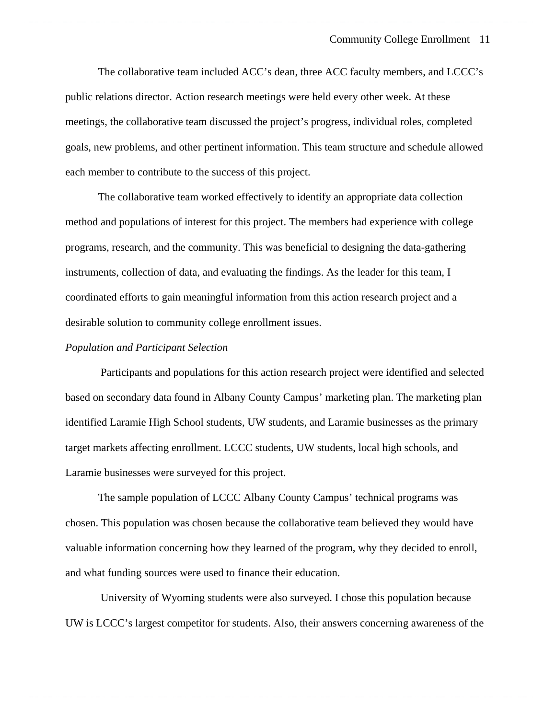The collaborative team included ACC's dean, three ACC faculty members, and LCCC's public relations director. Action research meetings were held every other week. At these meetings, the collaborative team discussed the project's progress, individual roles, completed goals, new problems, and other pertinent information. This team structure and schedule allowed each member to contribute to the success of this project.

The collaborative team worked effectively to identify an appropriate data collection method and populations of interest for this project. The members had experience with college programs, research, and the community. This was beneficial to designing the data-gathering instruments, collection of data, and evaluating the findings. As the leader for this team, I coordinated efforts to gain meaningful information from this action research project and a desirable solution to community college enrollment issues.

#### *Population and Participant Selection*

 Participants and populations for this action research project were identified and selected based on secondary data found in Albany County Campus' marketing plan. The marketing plan identified Laramie High School students, UW students, and Laramie businesses as the primary target markets affecting enrollment. LCCC students, UW students, local high schools, and Laramie businesses were surveyed for this project.

The sample population of LCCC Albany County Campus' technical programs was chosen. This population was chosen because the collaborative team believed they would have valuable information concerning how they learned of the program, why they decided to enroll, and what funding sources were used to finance their education.

 University of Wyoming students were also surveyed. I chose this population because UW is LCCC's largest competitor for students. Also, their answers concerning awareness of the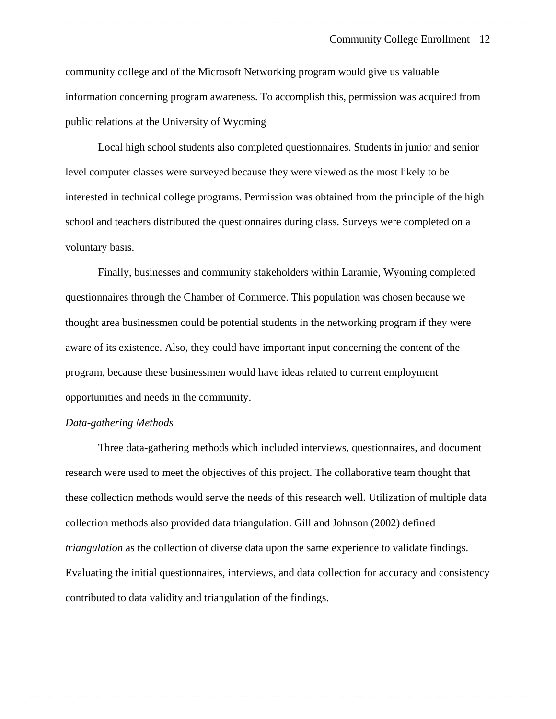community college and of the Microsoft Networking program would give us valuable information concerning program awareness. To accomplish this, permission was acquired from public relations at the University of Wyoming

Local high school students also completed questionnaires. Students in junior and senior level computer classes were surveyed because they were viewed as the most likely to be interested in technical college programs. Permission was obtained from the principle of the high school and teachers distributed the questionnaires during class. Surveys were completed on a voluntary basis.

Finally, businesses and community stakeholders within Laramie, Wyoming completed questionnaires through the Chamber of Commerce. This population was chosen because we thought area businessmen could be potential students in the networking program if they were aware of its existence. Also, they could have important input concerning the content of the program, because these businessmen would have ideas related to current employment opportunities and needs in the community.

#### *Data-gathering Methods*

 Three data-gathering methods which included interviews, questionnaires, and document research were used to meet the objectives of this project. The collaborative team thought that these collection methods would serve the needs of this research well. Utilization of multiple data collection methods also provided data triangulation. Gill and Johnson (2002) defined *triangulation* as the collection of diverse data upon the same experience to validate findings. Evaluating the initial questionnaires, interviews, and data collection for accuracy and consistency contributed to data validity and triangulation of the findings.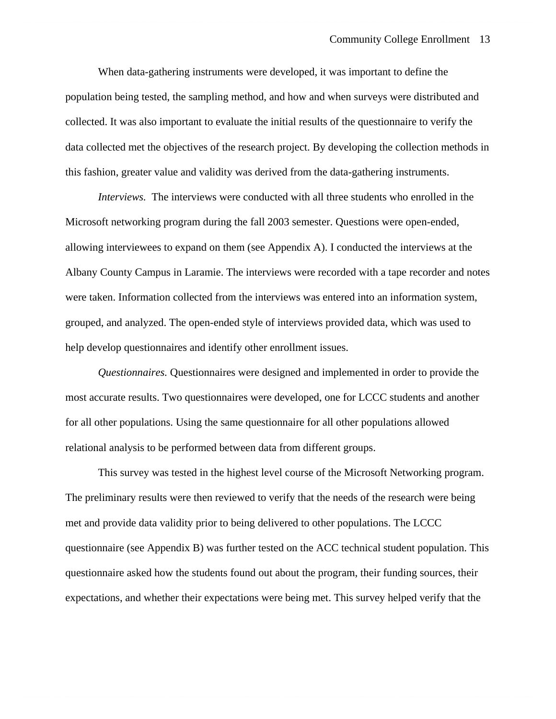#### Community College Enrollment 13

When data-gathering instruments were developed, it was important to define the population being tested, the sampling method, and how and when surveys were distributed and collected. It was also important to evaluate the initial results of the questionnaire to verify the data collected met the objectives of the research project. By developing the collection methods in this fashion, greater value and validity was derived from the data-gathering instruments.

*Interviews.* The interviews were conducted with all three students who enrolled in the Microsoft networking program during the fall 2003 semester. Questions were open-ended, allowing interviewees to expand on them (see Appendix A). I conducted the interviews at the Albany County Campus in Laramie. The interviews were recorded with a tape recorder and notes were taken. Information collected from the interviews was entered into an information system, grouped, and analyzed. The open-ended style of interviews provided data, which was used to help develop questionnaires and identify other enrollment issues.

*Questionnaires.* Questionnaires were designed and implemented in order to provide the most accurate results. Two questionnaires were developed, one for LCCC students and another for all other populations. Using the same questionnaire for all other populations allowed relational analysis to be performed between data from different groups.

This survey was tested in the highest level course of the Microsoft Networking program. The preliminary results were then reviewed to verify that the needs of the research were being met and provide data validity prior to being delivered to other populations. The LCCC questionnaire (see Appendix B) was further tested on the ACC technical student population. This questionnaire asked how the students found out about the program, their funding sources, their expectations, and whether their expectations were being met. This survey helped verify that the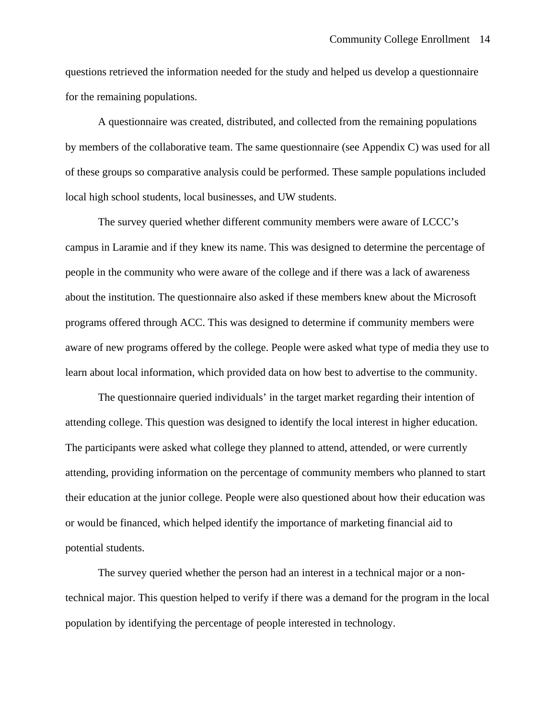questions retrieved the information needed for the study and helped us develop a questionnaire for the remaining populations.

A questionnaire was created, distributed, and collected from the remaining populations by members of the collaborative team. The same questionnaire (see Appendix C) was used for all of these groups so comparative analysis could be performed. These sample populations included local high school students, local businesses, and UW students.

The survey queried whether different community members were aware of LCCC's campus in Laramie and if they knew its name. This was designed to determine the percentage of people in the community who were aware of the college and if there was a lack of awareness about the institution. The questionnaire also asked if these members knew about the Microsoft programs offered through ACC. This was designed to determine if community members were aware of new programs offered by the college. People were asked what type of media they use to learn about local information, which provided data on how best to advertise to the community.

The questionnaire queried individuals' in the target market regarding their intention of attending college. This question was designed to identify the local interest in higher education. The participants were asked what college they planned to attend, attended, or were currently attending, providing information on the percentage of community members who planned to start their education at the junior college. People were also questioned about how their education was or would be financed, which helped identify the importance of marketing financial aid to potential students.

The survey queried whether the person had an interest in a technical major or a nontechnical major. This question helped to verify if there was a demand for the program in the local population by identifying the percentage of people interested in technology.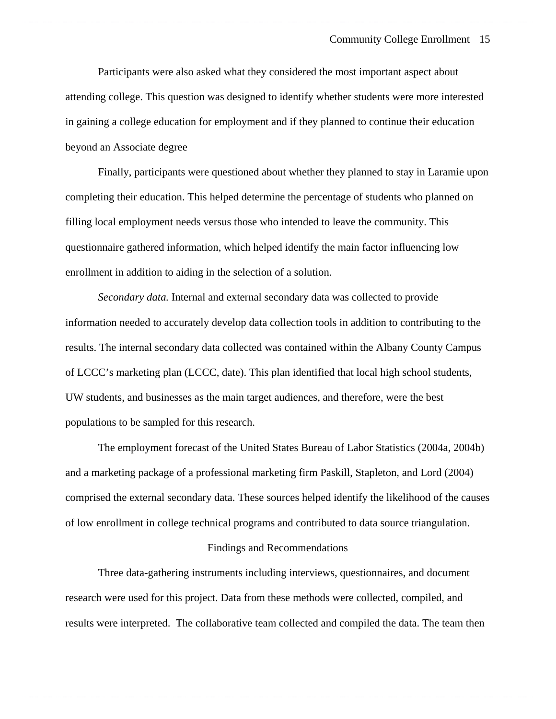Participants were also asked what they considered the most important aspect about attending college. This question was designed to identify whether students were more interested in gaining a college education for employment and if they planned to continue their education beyond an Associate degree

Finally, participants were questioned about whether they planned to stay in Laramie upon completing their education. This helped determine the percentage of students who planned on filling local employment needs versus those who intended to leave the community. This questionnaire gathered information, which helped identify the main factor influencing low enrollment in addition to aiding in the selection of a solution.

*Secondary data.* Internal and external secondary data was collected to provide information needed to accurately develop data collection tools in addition to contributing to the results. The internal secondary data collected was contained within the Albany County Campus of LCCC's marketing plan (LCCC, date). This plan identified that local high school students, UW students, and businesses as the main target audiences, and therefore, were the best populations to be sampled for this research.

The employment forecast of the United States Bureau of Labor Statistics (2004a, 2004b) and a marketing package of a professional marketing firm Paskill, Stapleton, and Lord (2004) comprised the external secondary data. These sources helped identify the likelihood of the causes of low enrollment in college technical programs and contributed to data source triangulation.

#### Findings and Recommendations

 Three data-gathering instruments including interviews, questionnaires, and document research were used for this project. Data from these methods were collected, compiled, and results were interpreted. The collaborative team collected and compiled the data. The team then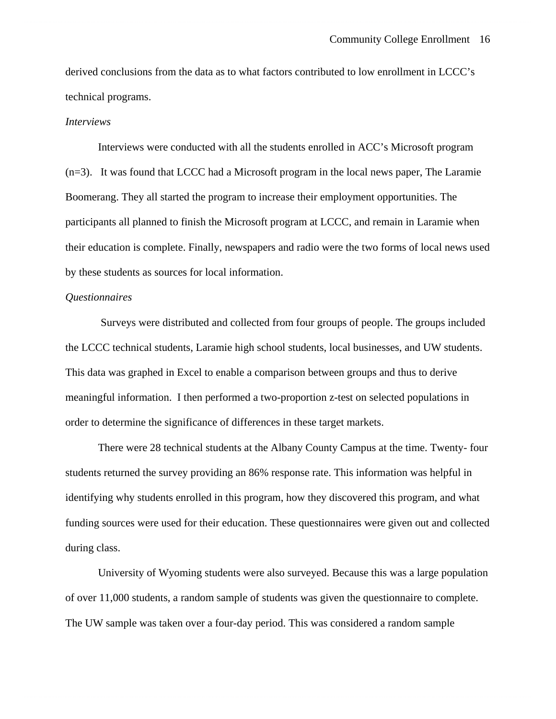derived conclusions from the data as to what factors contributed to low enrollment in LCCC's technical programs.

#### *Interviews*

Interviews were conducted with all the students enrolled in ACC's Microsoft program (n=3). It was found that LCCC had a Microsoft program in the local news paper, The Laramie Boomerang. They all started the program to increase their employment opportunities. The participants all planned to finish the Microsoft program at LCCC, and remain in Laramie when their education is complete. Finally, newspapers and radio were the two forms of local news used by these students as sources for local information.

### *Questionnaires*

 Surveys were distributed and collected from four groups of people. The groups included the LCCC technical students, Laramie high school students, local businesses, and UW students. This data was graphed in Excel to enable a comparison between groups and thus to derive meaningful information. I then performed a two-proportion z-test on selected populations in order to determine the significance of differences in these target markets.

There were 28 technical students at the Albany County Campus at the time. Twenty- four students returned the survey providing an 86% response rate. This information was helpful in identifying why students enrolled in this program, how they discovered this program, and what funding sources were used for their education. These questionnaires were given out and collected during class.

University of Wyoming students were also surveyed. Because this was a large population of over 11,000 students, a random sample of students was given the questionnaire to complete. The UW sample was taken over a four-day period. This was considered a random sample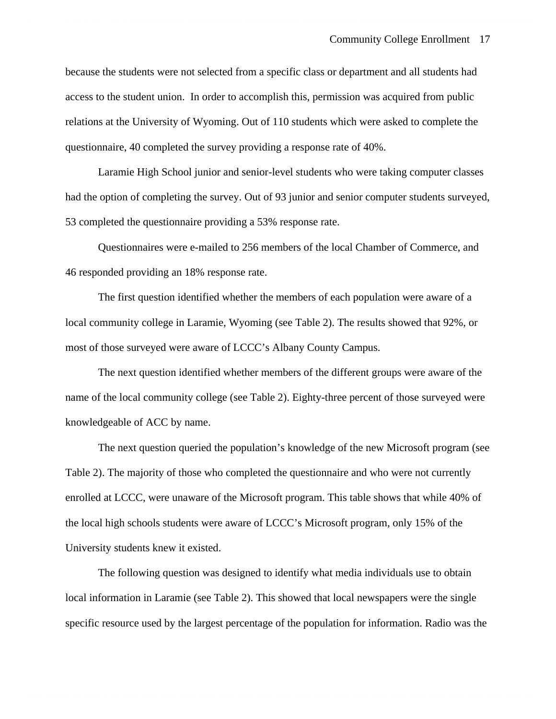because the students were not selected from a specific class or department and all students had access to the student union. In order to accomplish this, permission was acquired from public relations at the University of Wyoming. Out of 110 students which were asked to complete the questionnaire, 40 completed the survey providing a response rate of 40%.

Laramie High School junior and senior-level students who were taking computer classes had the option of completing the survey. Out of 93 junior and senior computer students surveyed, 53 completed the questionnaire providing a 53% response rate.

Questionnaires were e-mailed to 256 members of the local Chamber of Commerce, and 46 responded providing an 18% response rate.

 The first question identified whether the members of each population were aware of a local community college in Laramie, Wyoming (see Table 2). The results showed that 92%, or most of those surveyed were aware of LCCC's Albany County Campus.

 The next question identified whether members of the different groups were aware of the name of the local community college (see Table 2). Eighty-three percent of those surveyed were knowledgeable of ACC by name.

 The next question queried the population's knowledge of the new Microsoft program (see Table 2). The majority of those who completed the questionnaire and who were not currently enrolled at LCCC, were unaware of the Microsoft program. This table shows that while 40% of the local high schools students were aware of LCCC's Microsoft program, only 15% of the University students knew it existed.

The following question was designed to identify what media individuals use to obtain local information in Laramie (see Table 2). This showed that local newspapers were the single specific resource used by the largest percentage of the population for information. Radio was the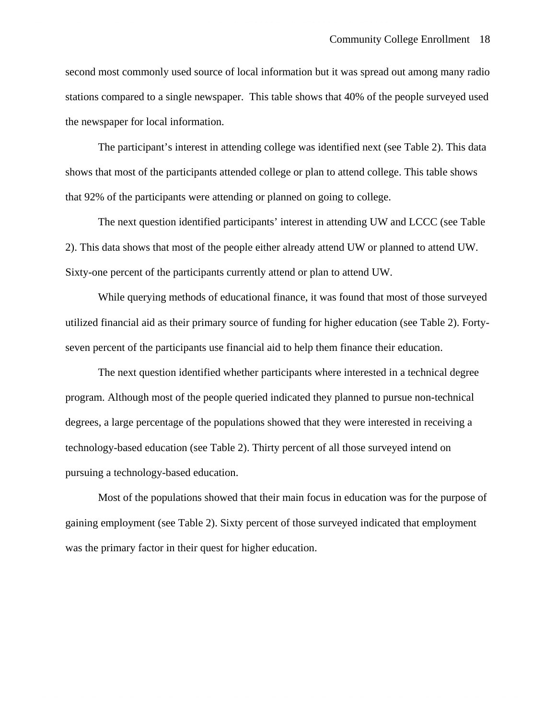second most commonly used source of local information but it was spread out among many radio stations compared to a single newspaper. This table shows that 40% of the people surveyed used the newspaper for local information.

 The participant's interest in attending college was identified next (see Table 2). This data shows that most of the participants attended college or plan to attend college. This table shows that 92% of the participants were attending or planned on going to college.

The next question identified participants' interest in attending UW and LCCC (see Table 2). This data shows that most of the people either already attend UW or planned to attend UW. Sixty-one percent of the participants currently attend or plan to attend UW.

 While querying methods of educational finance, it was found that most of those surveyed utilized financial aid as their primary source of funding for higher education (see Table 2). Fortyseven percent of the participants use financial aid to help them finance their education.

 The next question identified whether participants where interested in a technical degree program. Although most of the people queried indicated they planned to pursue non-technical degrees, a large percentage of the populations showed that they were interested in receiving a technology-based education (see Table 2). Thirty percent of all those surveyed intend on pursuing a technology-based education.

 Most of the populations showed that their main focus in education was for the purpose of gaining employment (see Table 2). Sixty percent of those surveyed indicated that employment was the primary factor in their quest for higher education.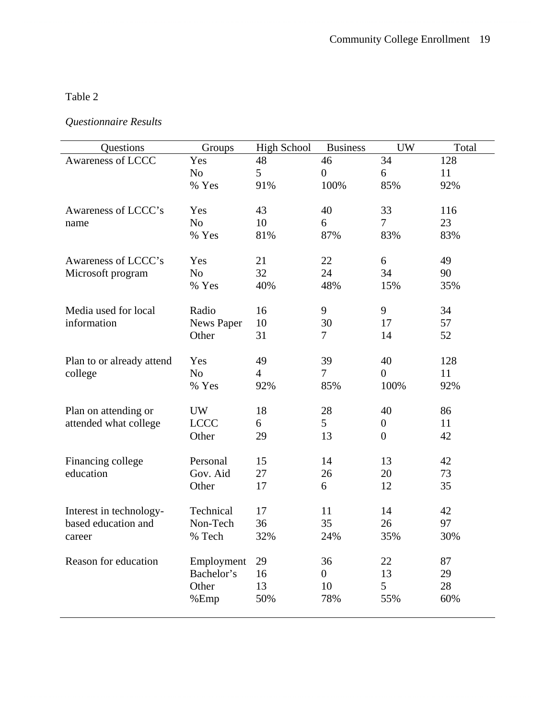# Table 2

# *Questionnaire Results*

| Questions                 | Groups            | <b>High School</b> | <b>Business</b> | <b>UW</b>        | Total |
|---------------------------|-------------------|--------------------|-----------------|------------------|-------|
| Awareness of LCCC         | Yes               | 48                 | 46              | 34               | 128   |
|                           | N <sub>o</sub>    | 5                  | $\overline{0}$  | 6                | 11    |
|                           | % Yes             | 91%                | 100%            | 85%              | 92%   |
|                           |                   |                    |                 |                  |       |
| Awareness of LCCC's       | Yes               | 43                 | 40              | 33               | 116   |
| name                      | N <sub>o</sub>    | 10                 | 6               | $\overline{7}$   | 23    |
|                           | % Yes             | 81%                | 87%             | 83%              | 83%   |
|                           |                   |                    |                 |                  |       |
| Awareness of LCCC's       | Yes               | 21                 | 22              | 6                | 49    |
| Microsoft program         | N <sub>o</sub>    | 32                 | 24              | 34               | 90    |
|                           | % Yes             | 40%                | 48%             | 15%              | 35%   |
|                           |                   |                    |                 |                  |       |
| Media used for local      | Radio             | 16                 | 9               | 9                | 34    |
| information               | <b>News Paper</b> | 10                 | 30              | 17               | 57    |
|                           | Other             | 31                 | 7               | 14               | 52    |
|                           |                   |                    |                 |                  |       |
| Plan to or already attend | Yes               | 49                 | 39              | 40               | 128   |
| college                   | N <sub>o</sub>    | $\overline{4}$     | 7               | $\overline{0}$   | 11    |
|                           | % Yes             | 92%                | 85%             | 100%             | 92%   |
| Plan on attending or      | <b>UW</b>         | 18                 | 28              | 40               | 86    |
| attended what college     | <b>LCCC</b>       | 6                  | 5               | $\boldsymbol{0}$ | 11    |
|                           | Other             | 29                 | 13              | $\overline{0}$   | 42    |
|                           |                   |                    |                 |                  |       |
| Financing college         | Personal          | 15                 | 14              | 13               | 42    |
| education                 | Gov. Aid          | 27                 | 26              | 20               | 73    |
|                           | Other             | 17                 | 6               | 12               | 35    |
|                           |                   |                    |                 |                  |       |
| Interest in technology-   | Technical         | 17                 | 11              | 14               | 42    |
| based education and       | Non-Tech          | 36                 | 35              | 26               | 97    |
| career                    | % Tech            | 32%                | 24%             | 35%              | 30%   |
|                           |                   |                    |                 |                  |       |
| Reason for education      | Employment        | 29                 | 36              | 22               | 87    |
|                           | Bachelor's        | 16                 | 0               | 13               | 29    |
|                           | Other             | 13                 | 10              | 5                | 28    |
|                           | %Emp              | 50%                | 78%             | 55%              | 60%   |
|                           |                   |                    |                 |                  |       |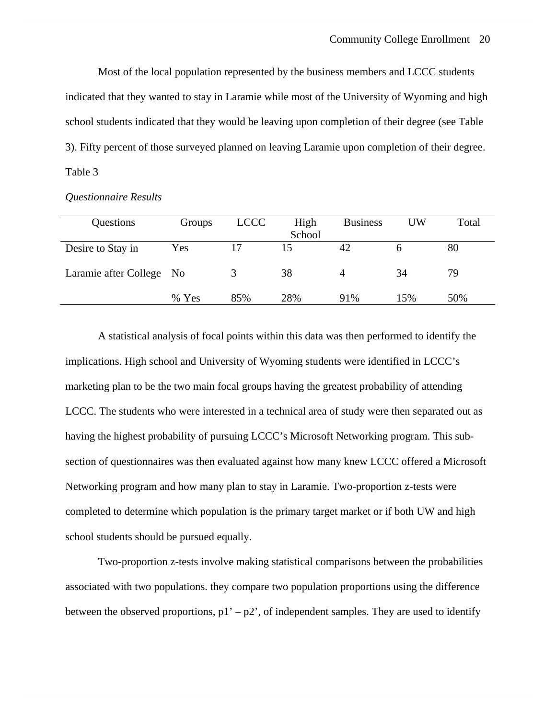Most of the local population represented by the business members and LCCC students indicated that they wanted to stay in Laramie while most of the University of Wyoming and high school students indicated that they would be leaving upon completion of their degree (see Table 3). Fifty percent of those surveyed planned on leaving Laramie upon completion of their degree. Table 3

| Questions                | Groups | <b>LCCC</b> | High   | <b>Business</b> | UW  | Total |
|--------------------------|--------|-------------|--------|-----------------|-----|-------|
|                          |        |             | School |                 |     |       |
| Desire to Stay in        | Yes    |             | 15     |                 |     | 80    |
| Laramie after College No |        |             | 38     | 4               | 34  | 79    |
|                          | % Yes  | 85%         | 28%    | 91%             | 15% | 50%   |

*Questionnaire Results*

A statistical analysis of focal points within this data was then performed to identify the implications. High school and University of Wyoming students were identified in LCCC's marketing plan to be the two main focal groups having the greatest probability of attending LCCC. The students who were interested in a technical area of study were then separated out as having the highest probability of pursuing LCCC's Microsoft Networking program. This subsection of questionnaires was then evaluated against how many knew LCCC offered a Microsoft Networking program and how many plan to stay in Laramie. Two-proportion z-tests were completed to determine which population is the primary target market or if both UW and high school students should be pursued equally.

Two-proportion z-tests involve making statistical comparisons between the probabilities associated with two populations. they compare two population proportions using the difference between the observed proportions,  $p1' - p2'$ , of independent samples. They are used to identify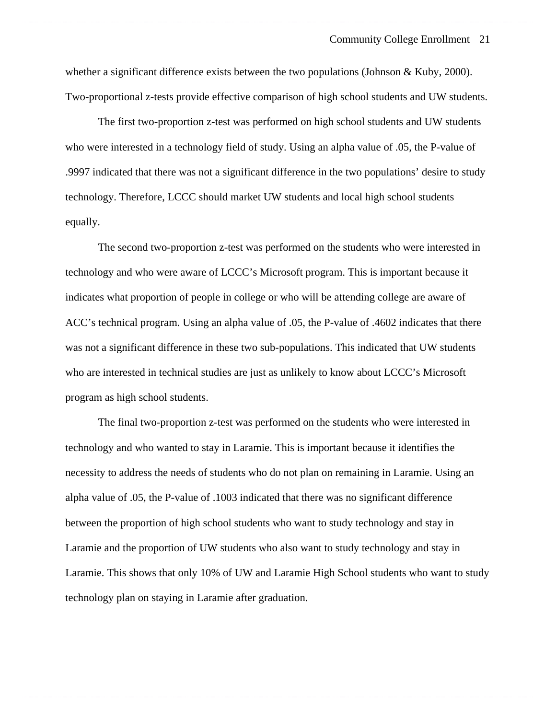whether a significant difference exists between the two populations (Johnson & Kuby, 2000). Two-proportional z-tests provide effective comparison of high school students and UW students.

The first two-proportion z-test was performed on high school students and UW students who were interested in a technology field of study. Using an alpha value of .05, the P-value of .9997 indicated that there was not a significant difference in the two populations' desire to study technology. Therefore, LCCC should market UW students and local high school students equally.

The second two-proportion z-test was performed on the students who were interested in technology and who were aware of LCCC's Microsoft program. This is important because it indicates what proportion of people in college or who will be attending college are aware of ACC's technical program. Using an alpha value of .05, the P-value of .4602 indicates that there was not a significant difference in these two sub-populations. This indicated that UW students who are interested in technical studies are just as unlikely to know about LCCC's Microsoft program as high school students.

The final two-proportion z-test was performed on the students who were interested in technology and who wanted to stay in Laramie. This is important because it identifies the necessity to address the needs of students who do not plan on remaining in Laramie. Using an alpha value of .05, the P-value of .1003 indicated that there was no significant difference between the proportion of high school students who want to study technology and stay in Laramie and the proportion of UW students who also want to study technology and stay in Laramie. This shows that only 10% of UW and Laramie High School students who want to study technology plan on staying in Laramie after graduation.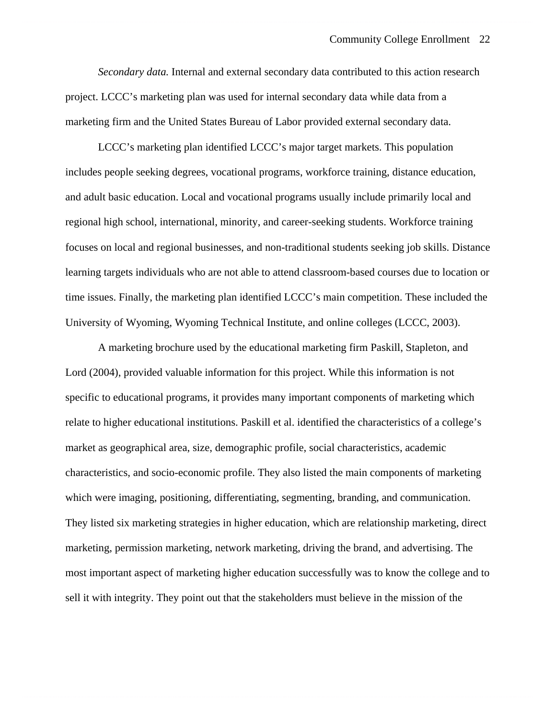*Secondary data.* Internal and external secondary data contributed to this action research project. LCCC's marketing plan was used for internal secondary data while data from a marketing firm and the United States Bureau of Labor provided external secondary data.

 LCCC's marketing plan identified LCCC's major target markets. This population includes people seeking degrees, vocational programs, workforce training, distance education, and adult basic education. Local and vocational programs usually include primarily local and regional high school, international, minority, and career-seeking students. Workforce training focuses on local and regional businesses, and non-traditional students seeking job skills. Distance learning targets individuals who are not able to attend classroom-based courses due to location or time issues. Finally, the marketing plan identified LCCC's main competition. These included the University of Wyoming, Wyoming Technical Institute, and online colleges (LCCC, 2003).

A marketing brochure used by the educational marketing firm Paskill, Stapleton, and Lord (2004), provided valuable information for this project. While this information is not specific to educational programs, it provides many important components of marketing which relate to higher educational institutions. Paskill et al. identified the characteristics of a college's market as geographical area, size, demographic profile, social characteristics, academic characteristics, and socio-economic profile. They also listed the main components of marketing which were imaging, positioning, differentiating, segmenting, branding, and communication. They listed six marketing strategies in higher education, which are relationship marketing, direct marketing, permission marketing, network marketing, driving the brand, and advertising. The most important aspect of marketing higher education successfully was to know the college and to sell it with integrity. They point out that the stakeholders must believe in the mission of the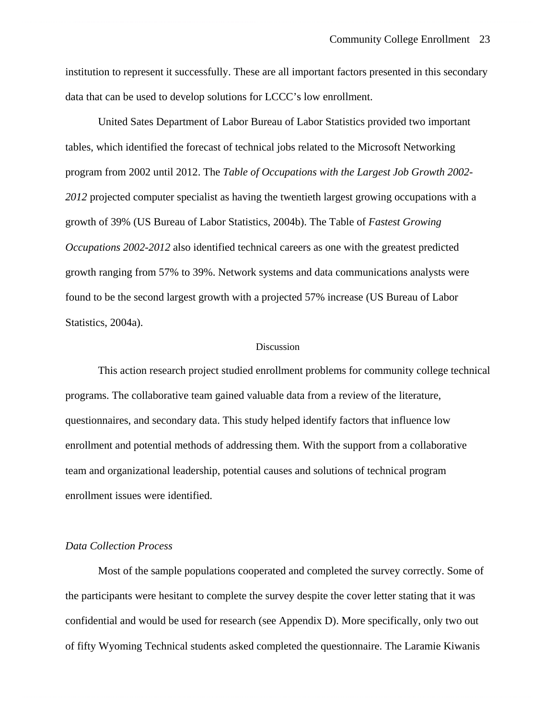institution to represent it successfully. These are all important factors presented in this secondary data that can be used to develop solutions for LCCC's low enrollment.

United Sates Department of Labor Bureau of Labor Statistics provided two important tables, which identified the forecast of technical jobs related to the Microsoft Networking program from 2002 until 2012. The *Table of Occupations with the Largest Job Growth 2002- 2012* projected computer specialist as having the twentieth largest growing occupations with a growth of 39% (US Bureau of Labor Statistics, 2004b). The Table of *Fastest Growing Occupations 2002-2012* also identified technical careers as one with the greatest predicted growth ranging from 57% to 39%. Network systems and data communications analysts were found to be the second largest growth with a projected 57% increase (US Bureau of Labor Statistics, 2004a).

#### Discussion

This action research project studied enrollment problems for community college technical programs. The collaborative team gained valuable data from a review of the literature, questionnaires, and secondary data. This study helped identify factors that influence low enrollment and potential methods of addressing them. With the support from a collaborative team and organizational leadership, potential causes and solutions of technical program enrollment issues were identified.

#### *Data Collection Process*

 Most of the sample populations cooperated and completed the survey correctly. Some of the participants were hesitant to complete the survey despite the cover letter stating that it was confidential and would be used for research (see Appendix D). More specifically, only two out of fifty Wyoming Technical students asked completed the questionnaire. The Laramie Kiwanis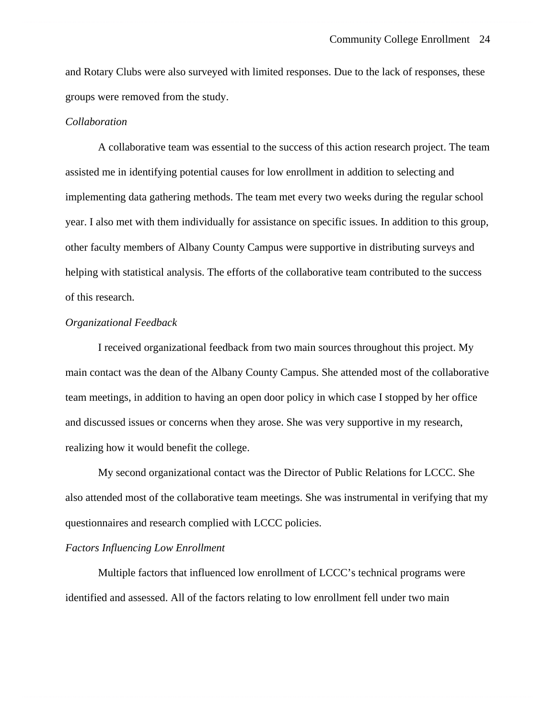and Rotary Clubs were also surveyed with limited responses. Due to the lack of responses, these groups were removed from the study.

#### *Collaboration*

A collaborative team was essential to the success of this action research project. The team assisted me in identifying potential causes for low enrollment in addition to selecting and implementing data gathering methods. The team met every two weeks during the regular school year. I also met with them individually for assistance on specific issues. In addition to this group, other faculty members of Albany County Campus were supportive in distributing surveys and helping with statistical analysis. The efforts of the collaborative team contributed to the success of this research.

#### *Organizational Feedback*

 I received organizational feedback from two main sources throughout this project. My main contact was the dean of the Albany County Campus. She attended most of the collaborative team meetings, in addition to having an open door policy in which case I stopped by her office and discussed issues or concerns when they arose. She was very supportive in my research, realizing how it would benefit the college.

 My second organizational contact was the Director of Public Relations for LCCC. She also attended most of the collaborative team meetings. She was instrumental in verifying that my questionnaires and research complied with LCCC policies.

### *Factors Influencing Low Enrollment*

Multiple factors that influenced low enrollment of LCCC's technical programs were identified and assessed. All of the factors relating to low enrollment fell under two main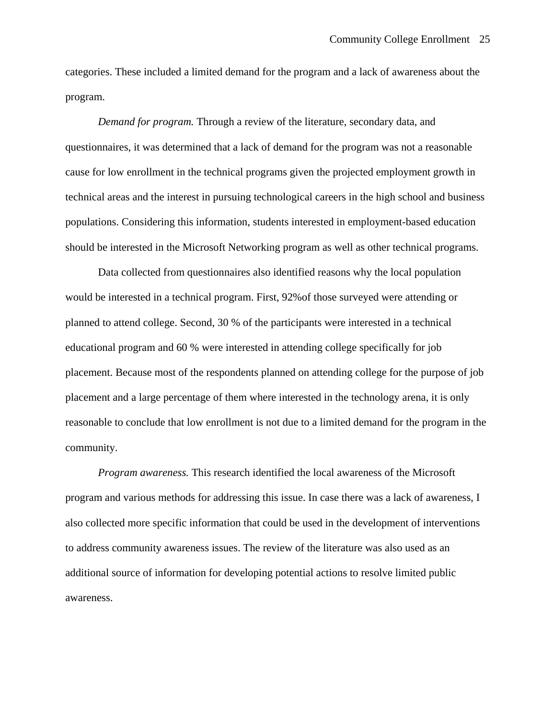categories. These included a limited demand for the program and a lack of awareness about the program.

*Demand for program.* Through a review of the literature, secondary data, and questionnaires, it was determined that a lack of demand for the program was not a reasonable cause for low enrollment in the technical programs given the projected employment growth in technical areas and the interest in pursuing technological careers in the high school and business populations. Considering this information, students interested in employment-based education should be interested in the Microsoft Networking program as well as other technical programs.

 Data collected from questionnaires also identified reasons why the local population would be interested in a technical program. First, 92%of those surveyed were attending or planned to attend college. Second, 30 % of the participants were interested in a technical educational program and 60 % were interested in attending college specifically for job placement. Because most of the respondents planned on attending college for the purpose of job placement and a large percentage of them where interested in the technology arena, it is only reasonable to conclude that low enrollment is not due to a limited demand for the program in the community.

*Program awareness.* This research identified the local awareness of the Microsoft program and various methods for addressing this issue. In case there was a lack of awareness, I also collected more specific information that could be used in the development of interventions to address community awareness issues. The review of the literature was also used as an additional source of information for developing potential actions to resolve limited public awareness.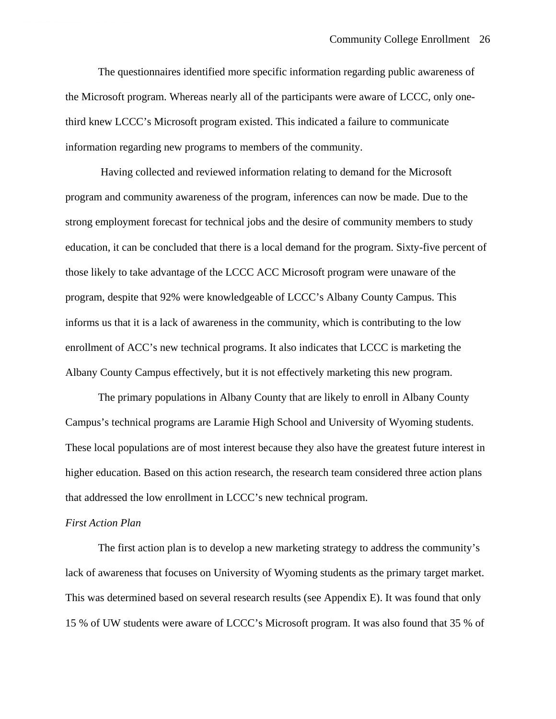The questionnaires identified more specific information regarding public awareness of the Microsoft program. Whereas nearly all of the participants were aware of LCCC, only onethird knew LCCC's Microsoft program existed. This indicated a failure to communicate information regarding new programs to members of the community.

 Having collected and reviewed information relating to demand for the Microsoft program and community awareness of the program, inferences can now be made. Due to the strong employment forecast for technical jobs and the desire of community members to study education, it can be concluded that there is a local demand for the program. Sixty-five percent of those likely to take advantage of the LCCC ACC Microsoft program were unaware of the program, despite that 92% were knowledgeable of LCCC's Albany County Campus. This informs us that it is a lack of awareness in the community, which is contributing to the low enrollment of ACC's new technical programs. It also indicates that LCCC is marketing the Albany County Campus effectively, but it is not effectively marketing this new program.

The primary populations in Albany County that are likely to enroll in Albany County Campus's technical programs are Laramie High School and University of Wyoming students. These local populations are of most interest because they also have the greatest future interest in higher education. Based on this action research, the research team considered three action plans that addressed the low enrollment in LCCC's new technical program.

#### *First Action Plan*

The first action plan is to develop a new marketing strategy to address the community's lack of awareness that focuses on University of Wyoming students as the primary target market. This was determined based on several research results (see Appendix E). It was found that only 15 % of UW students were aware of LCCC's Microsoft program. It was also found that 35 % of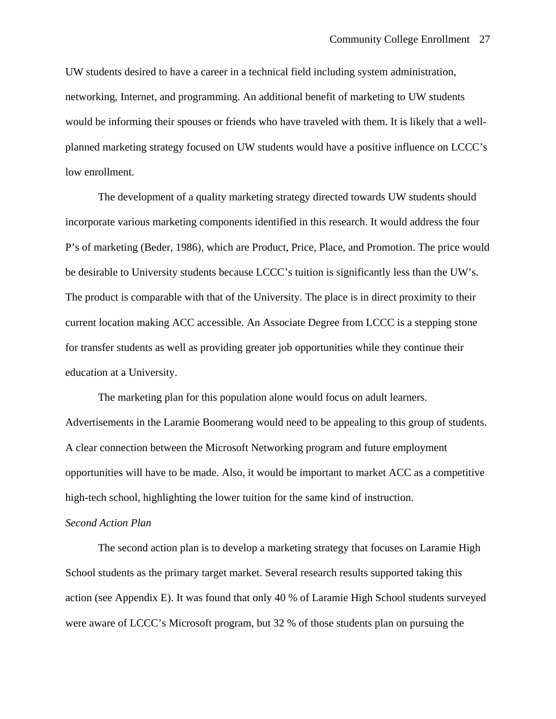UW students desired to have a career in a technical field including system administration, networking, Internet, and programming. An additional benefit of marketing to UW students would be informing their spouses or friends who have traveled with them. It is likely that a wellplanned marketing strategy focused on UW students would have a positive influence on LCCC's low enrollment.

The development of a quality marketing strategy directed towards UW students should incorporate various marketing components identified in this research. It would address the four P's of marketing (Beder, 1986), which are Product, Price, Place, and Promotion. The price would be desirable to University students because LCCC's tuition is significantly less than the UW's. The product is comparable with that of the University. The place is in direct proximity to their current location making ACC accessible. An Associate Degree from LCCC is a stepping stone for transfer students as well as providing greater job opportunities while they continue their education at a University.

The marketing plan for this population alone would focus on adult learners. Advertisements in the Laramie Boomerang would need to be appealing to this group of students. A clear connection between the Microsoft Networking program and future employment opportunities will have to be made. Also, it would be important to market ACC as a competitive high-tech school, highlighting the lower tuition for the same kind of instruction.

#### *Second Action Plan*

The second action plan is to develop a marketing strategy that focuses on Laramie High School students as the primary target market. Several research results supported taking this action (see Appendix E). It was found that only 40 % of Laramie High School students surveyed were aware of LCCC's Microsoft program, but 32 % of those students plan on pursuing the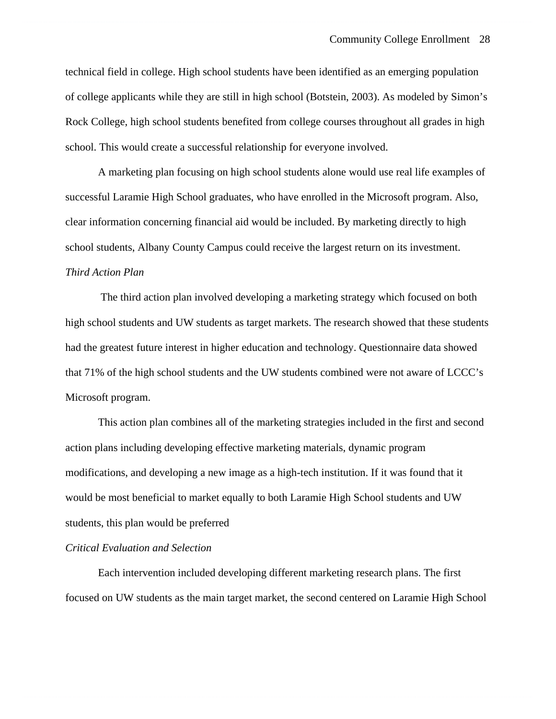technical field in college. High school students have been identified as an emerging population of college applicants while they are still in high school (Botstein, 2003). As modeled by Simon's Rock College, high school students benefited from college courses throughout all grades in high school. This would create a successful relationship for everyone involved.

A marketing plan focusing on high school students alone would use real life examples of successful Laramie High School graduates, who have enrolled in the Microsoft program. Also, clear information concerning financial aid would be included. By marketing directly to high school students, Albany County Campus could receive the largest return on its investment. *Third Action Plan* 

 The third action plan involved developing a marketing strategy which focused on both high school students and UW students as target markets. The research showed that these students had the greatest future interest in higher education and technology. Questionnaire data showed that 71% of the high school students and the UW students combined were not aware of LCCC's Microsoft program.

This action plan combines all of the marketing strategies included in the first and second action plans including developing effective marketing materials, dynamic program modifications, and developing a new image as a high-tech institution. If it was found that it would be most beneficial to market equally to both Laramie High School students and UW students, this plan would be preferred

### *Critical Evaluation and Selection*

Each intervention included developing different marketing research plans. The first focused on UW students as the main target market, the second centered on Laramie High School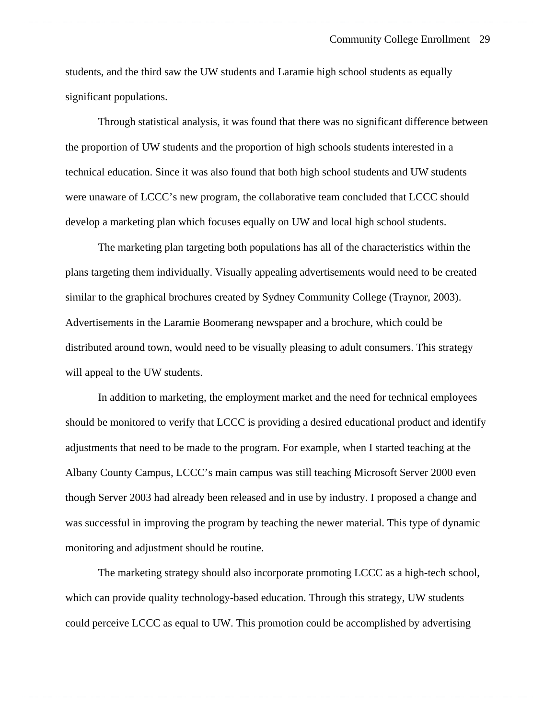students, and the third saw the UW students and Laramie high school students as equally significant populations.

Through statistical analysis, it was found that there was no significant difference between the proportion of UW students and the proportion of high schools students interested in a technical education. Since it was also found that both high school students and UW students were unaware of LCCC's new program, the collaborative team concluded that LCCC should develop a marketing plan which focuses equally on UW and local high school students.

The marketing plan targeting both populations has all of the characteristics within the plans targeting them individually. Visually appealing advertisements would need to be created similar to the graphical brochures created by Sydney Community College (Traynor, 2003). Advertisements in the Laramie Boomerang newspaper and a brochure, which could be distributed around town, would need to be visually pleasing to adult consumers. This strategy will appeal to the UW students.

In addition to marketing, the employment market and the need for technical employees should be monitored to verify that LCCC is providing a desired educational product and identify adjustments that need to be made to the program. For example, when I started teaching at the Albany County Campus, LCCC's main campus was still teaching Microsoft Server 2000 even though Server 2003 had already been released and in use by industry. I proposed a change and was successful in improving the program by teaching the newer material. This type of dynamic monitoring and adjustment should be routine.

The marketing strategy should also incorporate promoting LCCC as a high-tech school, which can provide quality technology-based education. Through this strategy, UW students could perceive LCCC as equal to UW. This promotion could be accomplished by advertising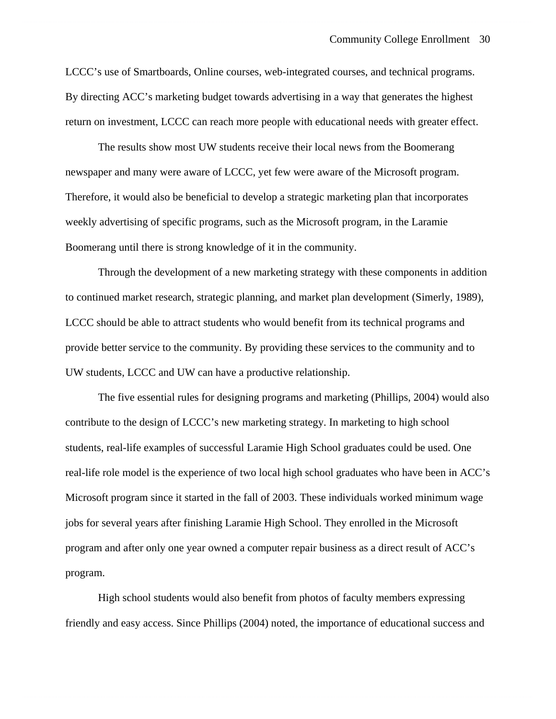LCCC's use of Smartboards, Online courses, web-integrated courses, and technical programs. By directing ACC's marketing budget towards advertising in a way that generates the highest return on investment, LCCC can reach more people with educational needs with greater effect.

The results show most UW students receive their local news from the Boomerang newspaper and many were aware of LCCC, yet few were aware of the Microsoft program. Therefore, it would also be beneficial to develop a strategic marketing plan that incorporates weekly advertising of specific programs, such as the Microsoft program, in the Laramie Boomerang until there is strong knowledge of it in the community.

Through the development of a new marketing strategy with these components in addition to continued market research, strategic planning, and market plan development (Simerly, 1989), LCCC should be able to attract students who would benefit from its technical programs and provide better service to the community. By providing these services to the community and to UW students, LCCC and UW can have a productive relationship.

The five essential rules for designing programs and marketing (Phillips, 2004) would also contribute to the design of LCCC's new marketing strategy. In marketing to high school students, real-life examples of successful Laramie High School graduates could be used. One real-life role model is the experience of two local high school graduates who have been in ACC's Microsoft program since it started in the fall of 2003. These individuals worked minimum wage jobs for several years after finishing Laramie High School. They enrolled in the Microsoft program and after only one year owned a computer repair business as a direct result of ACC's program.

High school students would also benefit from photos of faculty members expressing friendly and easy access. Since Phillips (2004) noted, the importance of educational success and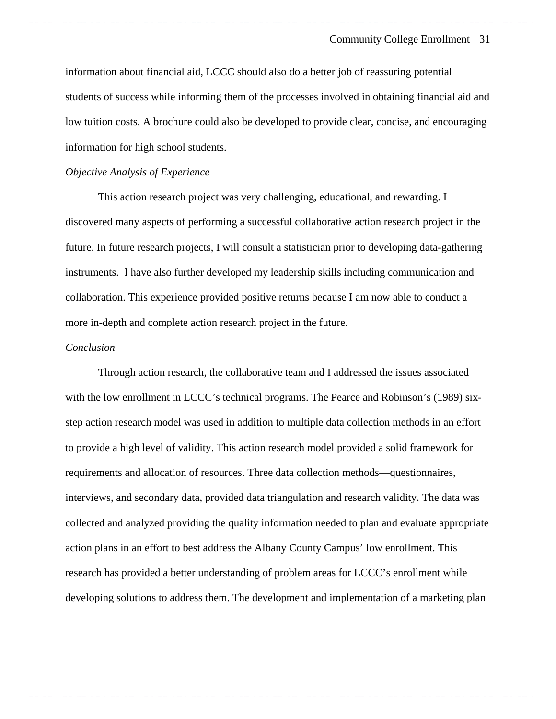information about financial aid, LCCC should also do a better job of reassuring potential students of success while informing them of the processes involved in obtaining financial aid and low tuition costs. A brochure could also be developed to provide clear, concise, and encouraging information for high school students.

#### *Objective Analysis of Experience*

This action research project was very challenging, educational, and rewarding. I discovered many aspects of performing a successful collaborative action research project in the future. In future research projects, I will consult a statistician prior to developing data-gathering instruments. I have also further developed my leadership skills including communication and collaboration. This experience provided positive returns because I am now able to conduct a more in-depth and complete action research project in the future.

#### *Conclusion*

Through action research, the collaborative team and I addressed the issues associated with the low enrollment in LCCC's technical programs. The Pearce and Robinson's (1989) sixstep action research model was used in addition to multiple data collection methods in an effort to provide a high level of validity. This action research model provided a solid framework for requirements and allocation of resources. Three data collection methods—questionnaires, interviews, and secondary data, provided data triangulation and research validity. The data was collected and analyzed providing the quality information needed to plan and evaluate appropriate action plans in an effort to best address the Albany County Campus' low enrollment. This research has provided a better understanding of problem areas for LCCC's enrollment while developing solutions to address them. The development and implementation of a marketing plan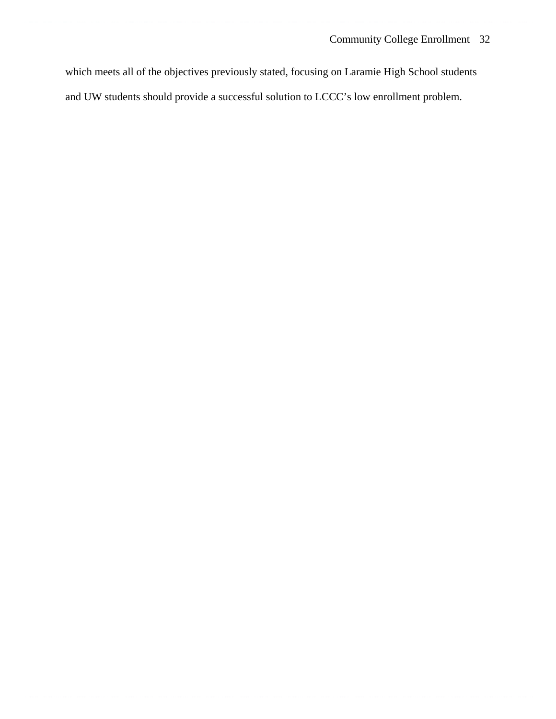which meets all of the objectives previously stated, focusing on Laramie High School students and UW students should provide a successful solution to LCCC's low enrollment problem.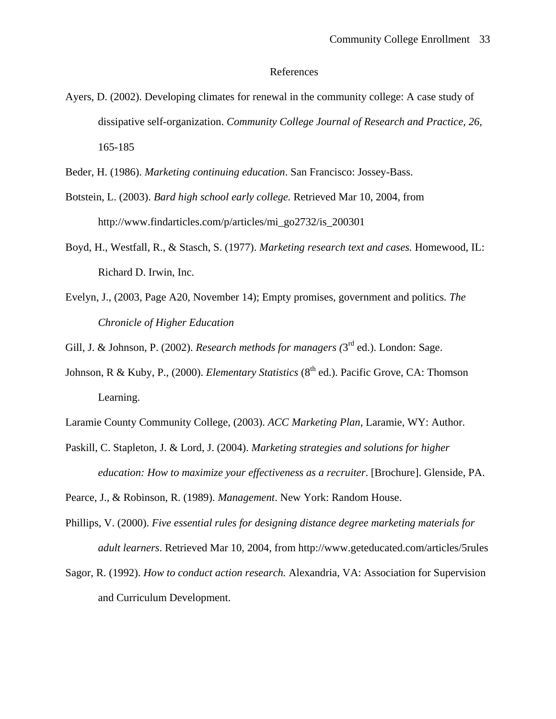#### References

- Ayers, D. (2002). Developing climates for renewal in the community college: A case study of dissipative self-organization. *Community College Journal of Research and Practice, 26,* 165-185
- Beder, H. (1986). *Marketing continuing education*. San Francisco: Jossey-Bass.
- Botstein, L. (2003). *Bard high school early college.* Retrieved Mar 10, 2004, from http://www.findarticles.com/p/articles/mi\_go2732/is\_200301
- Boyd, H., Westfall, R., & Stasch, S. (1977). *Marketing research text and cases.* Homewood, IL: Richard D. Irwin, Inc.
- Evelyn, J., (2003, Page A20, November 14); Empty promises, government and politics*. The Chronicle of Higher Education*

Gill, J. & Johnson, P. (2002). *Research methods for managers (*3rd ed.). London: Sage.

- Johnson, R & Kuby, P., (2000). *Elementary Statistics* (8<sup>th</sup> ed.). Pacific Grove, CA: Thomson Learning.
- Laramie County Community College, (2003). *ACC Marketing Plan,* Laramie, WY: Author.
- Paskill, C. Stapleton, J. & Lord, J. (2004). *Marketing strategies and solutions for higher education: How to maximize your effectiveness as a recruiter*. [Brochure]. Glenside, PA.

Pearce, J., & Robinson, R. (1989). *Management*. New York: Random House.

- Phillips, V. (2000). *Five essential rules for designing distance degree marketing materials for adult learners*. Retrieved Mar 10, 2004, from http://www.geteducated.com/articles/5rules
- Sagor, R. (1992). *How to conduct action research.* Alexandria, VA: Association for Supervision and Curriculum Development.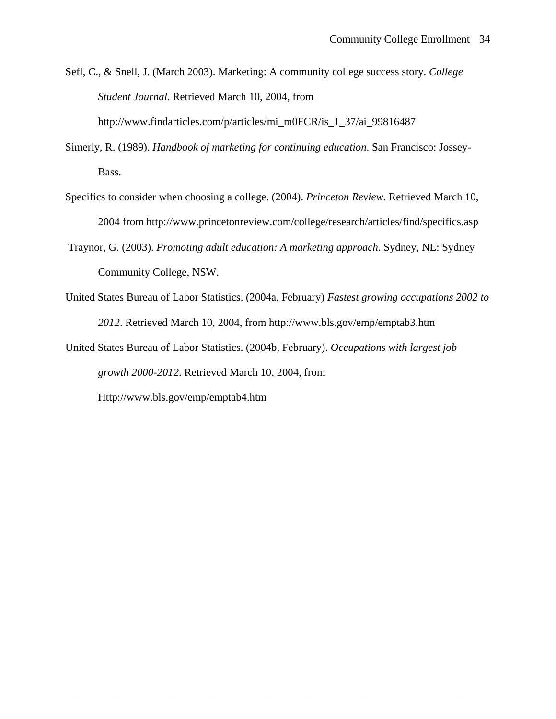Sefl, C., & Snell, J. (March 2003). Marketing: A community college success story. *College Student Journal.* Retrieved March 10, 2004, from

http://www.findarticles.com/p/articles/mi\_m0FCR/is\_1\_37/ai\_99816487

- Simerly, R. (1989). *Handbook of marketing for continuing education*. San Francisco: Jossey-Bass.
- Specifics to consider when choosing a college. (2004). *Princeton Review.* Retrieved March 10, 2004 from http://www.princetonreview.com/college/research/articles/find/specifics.asp
- Traynor, G. (2003). *Promoting adult education: A marketing approach*. Sydney, NE: Sydney Community College, NSW.
- United States Bureau of Labor Statistics. (2004a, February) *Fastest growing occupations 2002 to 2012*. Retrieved March 10, 2004, from http://www.bls.gov/emp/emptab3.htm

United States Bureau of Labor Statistics. (2004b, February). *Occupations with largest job growth 2000-2012*. Retrieved March 10, 2004, from

Http://www.bls.gov/emp/emptab4.htm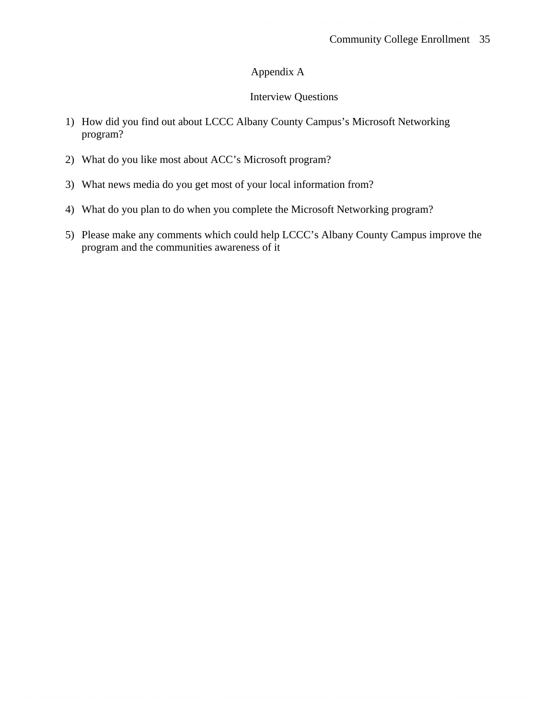# Appendix A

# Interview Questions

- 1) How did you find out about LCCC Albany County Campus's Microsoft Networking program?
- 2) What do you like most about ACC's Microsoft program?
- 3) What news media do you get most of your local information from?
- 4) What do you plan to do when you complete the Microsoft Networking program?
- 5) Please make any comments which could help LCCC's Albany County Campus improve the program and the communities awareness of it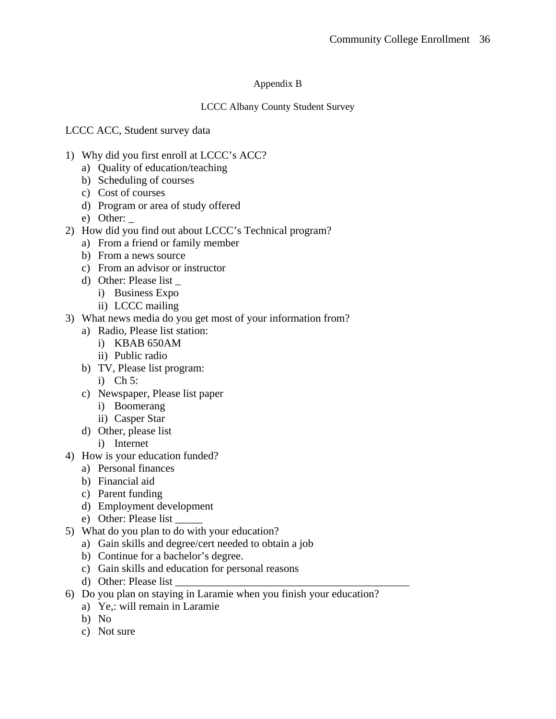# Appendix B

# LCCC Albany County Student Survey

LCCC ACC, Student survey data

- 1) Why did you first enroll at LCCC's ACC?
	- a) Quality of education/teaching
	- b) Scheduling of courses
	- c) Cost of courses
	- d) Program or area of study offered
	- e) Other:  $\overline{\phantom{a}}$
- 2) How did you find out about LCCC's Technical program?
	- a) From a friend or family member
	- b) From a news source
	- c) From an advisor or instructor
	- d) Other: Please list \_
		- i) Business Expo
		- ii) LCCC mailing
- 3) What news media do you get most of your information from?
	- a) Radio, Please list station:
		- i) KBAB 650AM
		- ii) Public radio
	- b) TV, Please list program:
		- i) Ch 5:
	- c) Newspaper, Please list paper
		- i) Boomerang
		- ii) Casper Star
	- d) Other, please list
		- i) Internet
- 4) How is your education funded?
	- a) Personal finances
	- b) Financial aid
	- c) Parent funding
	- d) Employment development
	- e) Other: Please list \_\_\_\_\_
- 5) What do you plan to do with your education?
	- a) Gain skills and degree/cert needed to obtain a job
	- b) Continue for a bachelor's degree.
	- c) Gain skills and education for personal reasons
	- d) Other: Please list
- 6) Do you plan on staying in Laramie when you finish your education?
	- a) Ye,: will remain in Laramie
	- b) No
	- c) Not sure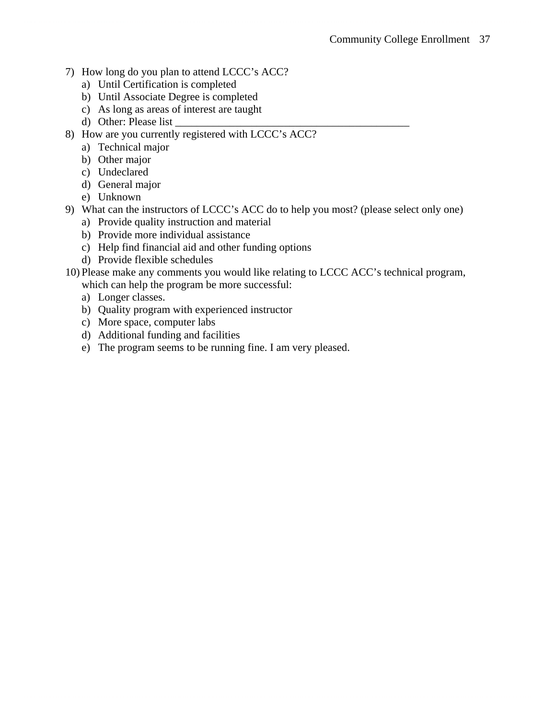- 7) How long do you plan to attend LCCC's ACC?
	- a) Until Certification is completed
	- b) Until Associate Degree is completed
	- c) As long as areas of interest are taught
	- d) Other: Please list
- 8) How are you currently registered with LCCC's ACC?
	- a) Technical major
	- b) Other major
	- c) Undeclared
	- d) General major
	- e) Unknown
- 9) What can the instructors of LCCC's ACC do to help you most? (please select only one)
	- a) Provide quality instruction and material
	- b) Provide more individual assistance
	- c) Help find financial aid and other funding options
	- d) Provide flexible schedules
- 10) Please make any comments you would like relating to LCCC ACC's technical program, which can help the program be more successful:
	- a) Longer classes.
	- b) Quality program with experienced instructor
	- c) More space, computer labs
	- d) Additional funding and facilities
	- e) The program seems to be running fine. I am very pleased.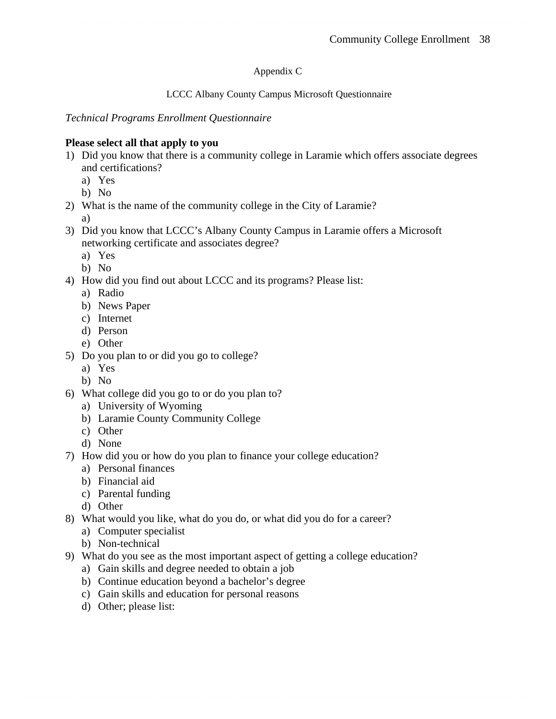# Appendix C

### LCCC Albany County Campus Microsoft Questionnaire

*Technical Programs Enrollment Questionnaire* 

# **Please select all that apply to you**

- 1) Did you know that there is a community college in Laramie which offers associate degrees and certifications?
	- a) Yes
	- b) No
- 2) What is the name of the community college in the City of Laramie?
	- a)
- 3) Did you know that LCCC's Albany County Campus in Laramie offers a Microsoft networking certificate and associates degree?
	- a) Yes
	- b) No
- 4) How did you find out about LCCC and its programs? Please list:
	- a) Radio
	- b) News Paper
	- c) Internet
	- d) Person
	- e) Other
- 5) Do you plan to or did you go to college?
	- a) Yes
	- b) No
- 6) What college did you go to or do you plan to?
	- a) University of Wyoming
	- b) Laramie County Community College
	- c) Other
	- d) None
- 7) How did you or how do you plan to finance your college education?
	- a) Personal finances
	- b) Financial aid
	- c) Parental funding
	- d) Other
- 8) What would you like, what do you do, or what did you do for a career?
	- a) Computer specialist
	- b) Non-technical
- 9) What do you see as the most important aspect of getting a college education?
	- a) Gain skills and degree needed to obtain a job
	- b) Continue education beyond a bachelor's degree
	- c) Gain skills and education for personal reasons
	- d) Other; please list: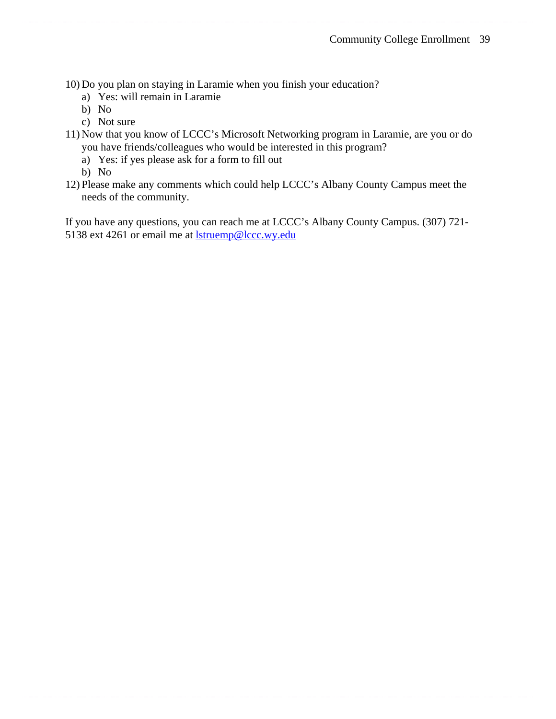10) Do you plan on staying in Laramie when you finish your education?

- a) Yes: will remain in Laramie
- b) No
- c) Not sure
- 11) Now that you know of LCCC's Microsoft Networking program in Laramie, are you or do you have friends/colleagues who would be interested in this program?
	- a) Yes: if yes please ask for a form to fill out

b) No

12) Please make any comments which could help LCCC's Albany County Campus meet the needs of the community.

If you have any questions, you can reach me at LCCC's Albany County Campus. (307) 721- 5138 ext 4261 or email me at **<u>lstruemp@lccc.wy.edu</u>**